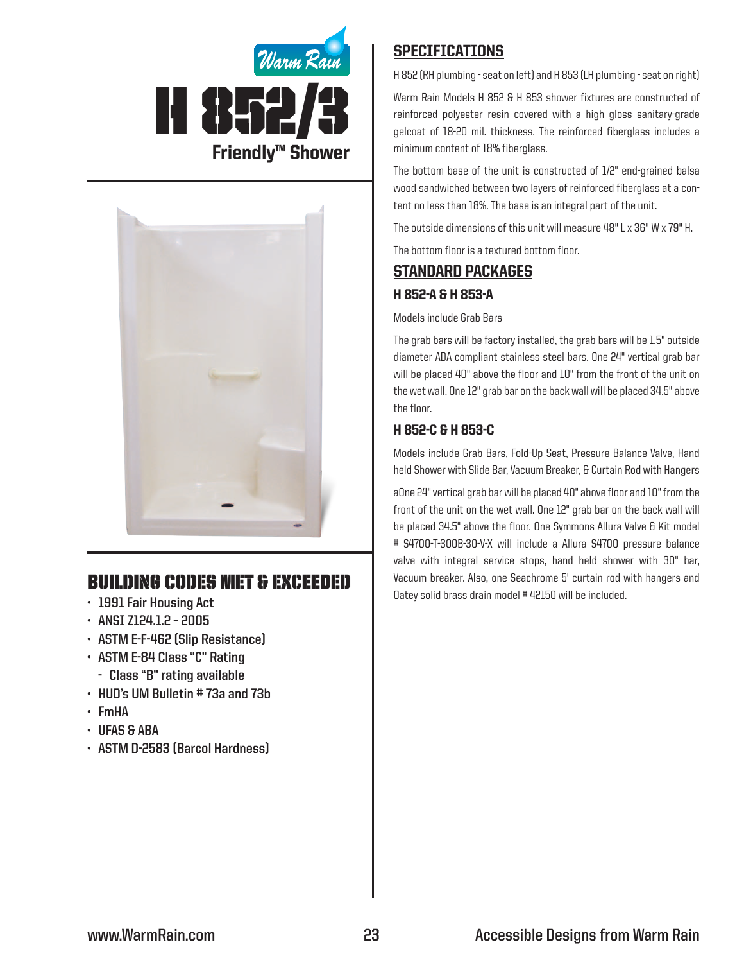



# Building Codes Met & EXCEEDED

- **• 1991 Fair Housing Act**
- **• ANSI Z124.1.2 – 2005**
- **• ASTM E-F-462 (Slip Resistance)**
- **• ASTM E-84 Class "C" Rating**
	- **- Class "B" rating available**
- **• HUD's UM Bulletin # 73a and 73b**
- **• FmHA**
- **• UFAS & ABA**
- **• ASTM D-2583 (Barcol Hardness)**

## **SPECIFICATIONS**

H 852 (RH plumbing - seat on left) and H 853 (LH plumbing - seat on right)

Warm Rain Models H 852 & H 853 shower fixtures are constructed of reinforced polyester resin covered with a high gloss sanitary-grade gelcoat of 18-20 mil. thickness. The reinforced fiberglass includes a minimum content of 18% fiberglass.

The bottom base of the unit is constructed of 1/2" end-grained balsa wood sandwiched between two layers of reinforced fiberglass at a content no less than 18%. The base is an integral part of the unit.

The outside dimensions of this unit will measure 48" L x 36" W x 79" H.

The bottom floor is a textured bottom floor.

# Standard packages H 852-A & H 853-A

#### Models include Grab Bars

The grab bars will be factory installed, the grab bars will be 1.5" outside diameter ADA compliant stainless steel bars. One 24" vertical grab bar will be placed 40" above the floor and 10" from the front of the unit on the wet wall. One 12" grab bar on the back wall will be placed 34.5" above the floor.

### H 852-C & H 853-C

Models include Grab Bars, Fold-Up Seat, Pressure Balance Valve, Hand held Shower with Slide Bar, Vacuum Breaker, & Curtain Rod with Hangers

aOne 24" vertical grab bar will be placed 40" above floor and 10" from the front of the unit on the wet wall. One 12" grab bar on the back wall will be placed 34.5" above the floor. One Symmons Allura Valve & Kit model # S4700-T-300B-30-V-X will include a Allura S4700 pressure balance valve with integral service stops, hand held shower with 30" bar, Vacuum breaker. Also, one Seachrome 5' curtain rod with hangers and Oatey solid brass drain model # 42150 will be included.